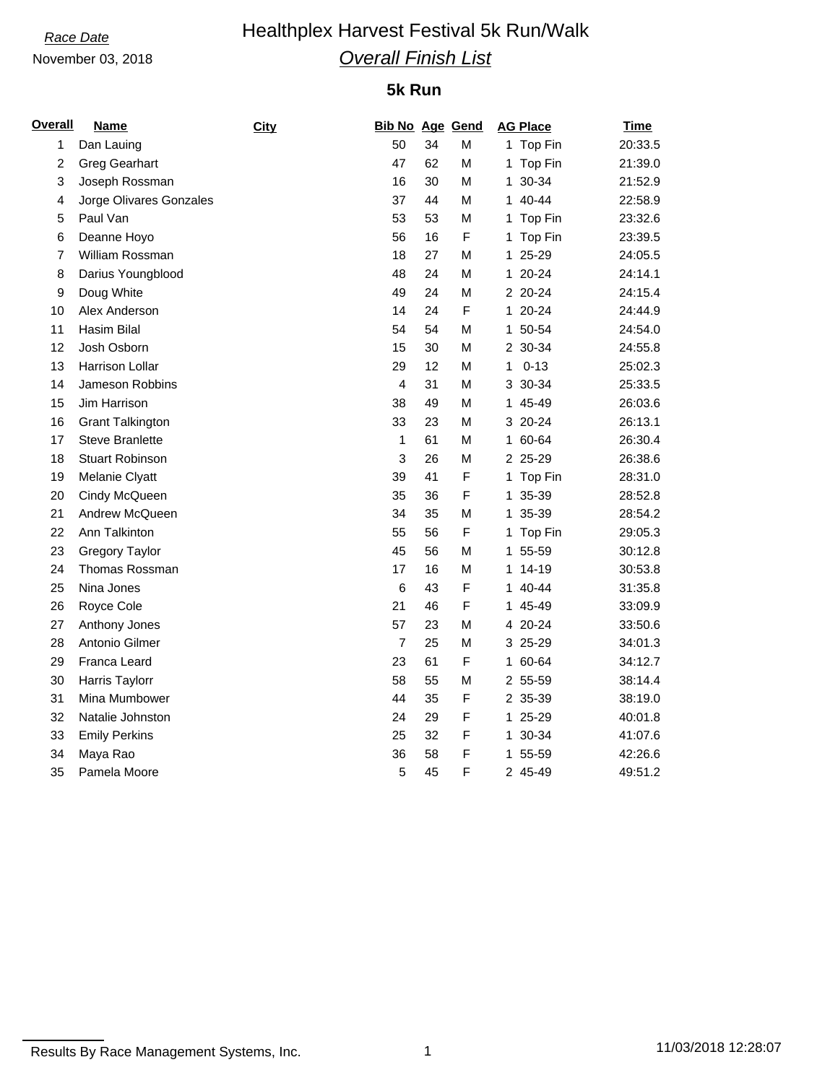## **Race Date Healthplex Harvest Festival 5k Run/Walk** *Overall Finish List*

### November 03, 2018

### **5k Run**

| <b>Overall</b> | <b>Name</b>             | City | <b>Bib No Age Gend</b> |    |             |    | <b>AG Place</b> | <b>Time</b> |
|----------------|-------------------------|------|------------------------|----|-------------|----|-----------------|-------------|
| 1              | Dan Lauing              |      | 50                     | 34 | M           |    | 1 Top Fin       | 20:33.5     |
| 2              | <b>Greg Gearhart</b>    |      | 47                     | 62 | M           |    | 1 Top Fin       | 21:39.0     |
| 3              | Joseph Rossman          |      | 16                     | 30 | М           | 1. | 30-34           | 21:52.9     |
| 4              | Jorge Olivares Gonzales |      | 37                     | 44 | M           |    | 1 40-44         | 22:58.9     |
| 5              | Paul Van                |      | 53                     | 53 | М           |    | 1 Top Fin       | 23:32.6     |
| 6              | Deanne Hoyo             |      | 56                     | 16 | F           |    | 1 Top Fin       | 23:39.5     |
| 7              | William Rossman         |      | 18                     | 27 | M           |    | 1 25-29         | 24:05.5     |
| 8              | Darius Youngblood       |      | 48                     | 24 | М           |    | 1 20-24         | 24:14.1     |
| 9              | Doug White              |      | 49                     | 24 | М           |    | 2 20-24         | 24:15.4     |
| 10             | Alex Anderson           |      | 14                     | 24 | $\mathsf F$ |    | 1 20-24         | 24:44.9     |
| 11             | Hasim Bilal             |      | 54                     | 54 | М           |    | 1 50-54         | 24:54.0     |
| 12             | Josh Osborn             |      | 15                     | 30 | M           |    | 2 30-34         | 24:55.8     |
| 13             | Harrison Lollar         |      | 29                     | 12 | M           | 1  | $0 - 13$        | 25:02.3     |
| 14             | Jameson Robbins         |      | $\overline{4}$         | 31 | М           |    | 3 30-34         | 25:33.5     |
| 15             | Jim Harrison            |      | 38                     | 49 | M           |    | 1 45-49         | 26:03.6     |
| 16             | <b>Grant Talkington</b> |      | 33                     | 23 | M           |    | 3 20-24         | 26:13.1     |
| 17             | <b>Steve Branlette</b>  |      | 1                      | 61 | М           |    | 1 60-64         | 26:30.4     |
| 18             | <b>Stuart Robinson</b>  |      | $\mathbf{3}$           | 26 | M           |    | 2 25-29         | 26:38.6     |
| 19             | Melanie Clyatt          |      | 39                     | 41 | $\mathsf F$ |    | 1 Top Fin       | 28:31.0     |
| 20             | Cindy McQueen           |      | 35                     | 36 | F           |    | 1 35-39         | 28:52.8     |
| 21             | Andrew McQueen          |      | 34                     | 35 | M           |    | 1 35-39         | 28:54.2     |
| 22             | Ann Talkinton           |      | 55                     | 56 | $\mathsf F$ |    | 1 Top Fin       | 29:05.3     |
| 23             | <b>Gregory Taylor</b>   |      | 45                     | 56 | М           |    | 1 55-59         | 30:12.8     |
| 24             | Thomas Rossman          |      | 17                     | 16 | M           |    | 1 14-19         | 30:53.8     |
| 25             | Nina Jones              |      | $6\phantom{1}6$        | 43 | F           |    | 1 40-44         | 31:35.8     |
| 26             | Royce Cole              |      | 21                     | 46 | F           |    | 1 45-49         | 33:09.9     |
| 27             | Anthony Jones           |      | 57                     | 23 | M           |    | 4 20-24         | 33:50.6     |
| 28             | Antonio Gilmer          |      | $\overline{7}$         | 25 | М           |    | 3 25-29         | 34:01.3     |
| 29             | Franca Leard            |      | 23                     | 61 | F           |    | 1 60-64         | 34:12.7     |
| 30             | Harris Taylorr          |      | 58                     | 55 | М           |    | 2 55-59         | 38:14.4     |
| 31             | Mina Mumbower           |      | 44                     | 35 | F           |    | 2 35-39         | 38:19.0     |
| 32             | Natalie Johnston        |      | 24                     | 29 | F           |    | 1 25-29         | 40:01.8     |
| 33             | <b>Emily Perkins</b>    |      | 25                     | 32 | F           |    | 1 30-34         | 41:07.6     |
| 34             | Maya Rao                |      | 36                     | 58 | F           |    | 1 55-59         | 42:26.6     |
| 35             | Pamela Moore            |      | 5                      | 45 | F           |    | 2 45-49         | 49:51.2     |

Results By Race Management Systems, Inc. 1 11/03/2018 12:28:07